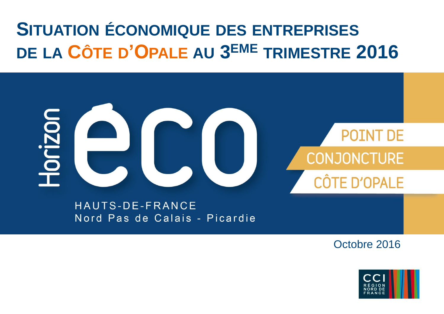## **SITUATION ÉCONOMIQUE DES ENTREPRISES DE LA CÔTE D'OPALE AU 3 EME TRIMESTRE 2016**

# 10rizor **OINT DE CONJONCTURE D'OPALE**

HAUTS-DE-FRANCE Nord Pas de Calais - Picardie

Octobre 2016

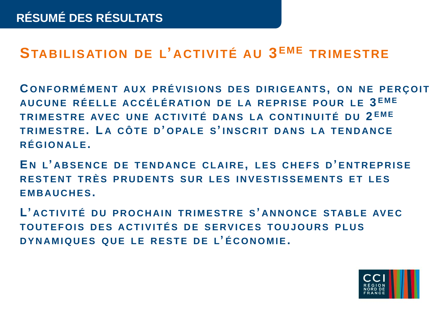### **STABILISATION DE L' ACTIVITÉ AU 3 EME TRIMESTRE**

**C O N F O R M É M E N T AU X P R É V I S I O N S D E S D I R I G E AN T S, O N N E P E R Ç O I T AU C U N E R É E L L E AC C É L É R AT I O N D E L A R E P R I S E P O U R L E 3 E M E T R I M E S T R E AV E C UNE AC T I V I T É D AN S L A C O N T I N U I T É D U 2 E M E T R I M E S T R E. L A C Ô T E D ' O PAL E S' I N S C R I T D AN S L A T E N D AN C E R É G I O N AL E.**

**E N L' AB S E N C E D E T E N D AN C E C L AI R E, L E S C H E F S D ' E N T R E P R I S E R E S T E N T T R È S P R U D E N T S S U R L E S I N V E S T I S S E M E N T S E T L E S E M B AU C H E S.**

L'ACTIVITÉ DU PROCHAIN TRIMESTRE S'ANNONCE STABLE AVEC **TO U T E F O I S D E S AC T I V I T É S D E S E RV I C E S TO U J O U R S P L U S D Y N AM I Q U E S Q U E L E R E S T E D E L' É C O N O M I E.**

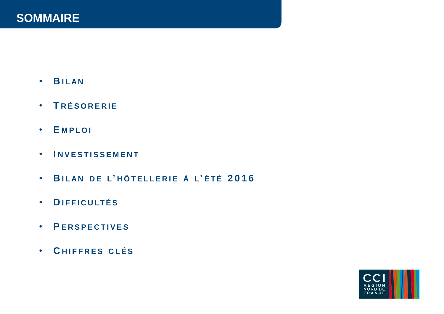- **B I L AN**
- **T R É S O R E R I E**
- **E M P L O I**
- **I N V E S T I S S E M E N T**
- **B I L AN D E L' H Ô T E L L E R I E À L' É T É 2016**
- **D I F F I C U LT É S**
- **P E R S P E C T I V E S**
- **C H I F F R E S C L É S**

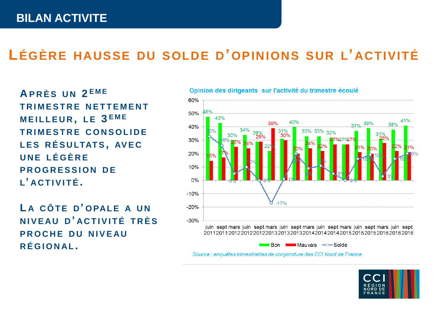### **LÉGÈRE HAUSSE DU SOLDE D'OPINIONS SUR L' ACTIVITÉ**

**A P R È S U N 2 E M E T R I M E S T R E N E T T E M E N T M E I L L E U R , L E 3 E M E T R I M E S T R E C O N S O L I D E L E S R É S U LTAT S , AV E C UNE L É G È R E PROGRESSION DE L' AC T I V I T É .**

**L A C Ô T E D ' O PAL E A U N N I V E AU D ' AC T I V I T É T R È S PROCHE DU NIVEAU R É G I O N AL .**



Opinion des dirigeants sur l'activité du trimestre écoulé

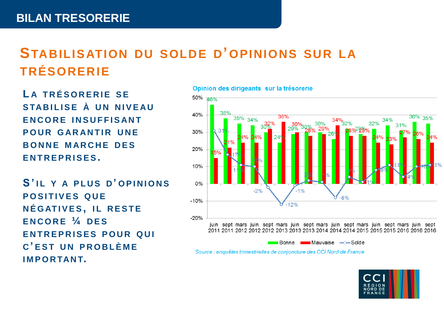### **STABILISATION DU SOLDE D'OPINIONS SUR LA TRÉSORERIE**

**L A T R É S O R E R I E S E S TAB I L I S E À U N N I V E AU E N C O R E I N S U F F I S AN T POUR GARANTIR UNE B O N N E M AR C H E D E S E N T R E P R I S E S .**

**S ' I L Y A P L U S D ' O P I N I O N S POSITIVES QUE N É G AT I V E S , I L R E S T E E N C O R E ¼ D E S E N T R E P R I S E S P O U R Q U I C ' EST U N P R O B L È M E I M P O R TAN T.**

Opinion des dirigeants sur la trésorerie



Bonne **EXAM** Mauvaise - Solde

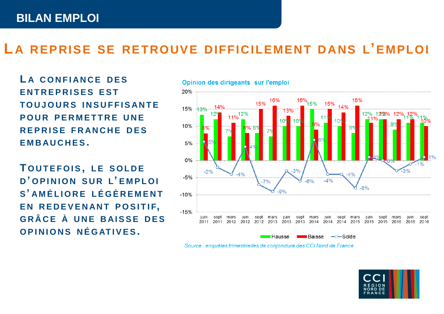### **LA REPRISE SE RETROUVE DIFFICILEMENT DANS L'EMPLOI**

**L A C O N F I AN C E D E S E N T R E P R I S E S EST T O U J O U R S I N S U F F I S AN T E POUR PERMETTRE UNE R E P R I S E F R AN C H E D E S E M B AU C H E S .**

**T O U T E F O I S , L E S O L D E D ' O P I N I O N S U R L' E M P L O I S ' AM É L I O R E L É G È R E M E N T E N R E D E V E N AN T P O S I T I F, G R Â C E À UNE B AI S S E D E S O P I N I O N S N É G AT I V E S .**



Opinion des dirigeants sur l'emploi

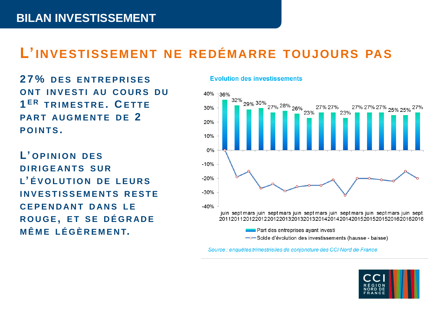### **L'INVESTISSEMENT NE REDÉMARRE TOUJOURS PAS**

**2 7 % D E S E N T R E P R I S E S O N T I N V E S T I AU C O U R S D U 1 E R T R I M E S T R E . C E T T E PART AUGMENTE DE 2 P O I N T S .**

**L' O P I N I O N D E S D I R I G E AN T S S U R L' É V O L U T I O N D E L E U R S I N V E S T I S S E M E N T S R E S T E C E P E N D AN T D AN S L E R O U G E , E T S E D É G R AD E MÊME L É G È R E M E N T.**

#### **Evolution des investissements**



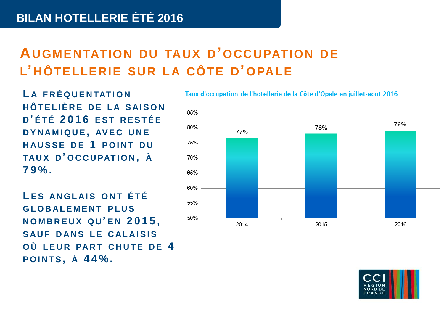### **AUGMENTATION DU TAUX D'OCCUPATION DE L' HÔTELLERIE SUR LA CÔTE D'OPALE**

**L A F R É Q U E N TAT I O N H Ô T E L I È R E D E L A S AI S O N D ' É T É 2016 EST R E S T É E D Y N AM I Q U E , AV E C UNE HAUSSE DE 1 POINT DU TAU X D ' O C C U PAT I O N , À 7 9 % .** 

**L E S AN G L A I S O N T É T É G L O B AL E M E N T P L U S N O M B R E U X Q U ' E N 2 0 1 5 , SAUF DANS LE CALAISIS O Ù L E U R PAR T C H U T E D E 4 P O I N T S , À 4 4 % .**

Taux d'occupation de l'hotellerie de la Côte d'Opale en juillet-aout 2016



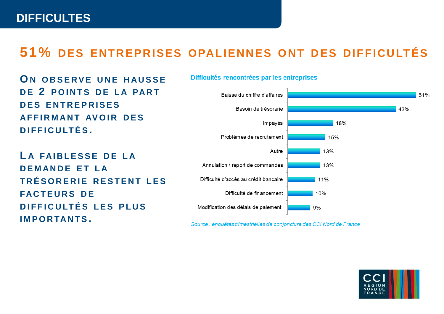### **51% DES ENTREPRISES OPALIENNES ONT DES DIFFICULTÉS**

Difficultés rencontrées par les entreprises

**O N O B S E R V E UNE H AU S S E D E 2 P O I N T S D E L A PAR T D E S E N T R E P R I S E S AF F I R M A N T AV O I R D E S D I F F I C U LT É S .**

**L A FAI B L E S S E D E L A D E M AN D E E T L A T R É S O R E R I E R E S T E N T L E S FAC T E U R S D E D I F F I C U LT É S L E S P L U S I M P O R TAN T S .** 

#### Baisse du chiffre d'affaires 51% Besoin de trésorerie 43% Impayés 18% Problèmes de recrutement 15% 13% Autre Annulation / report de commandes 13% Difficulté d'accès au crédit bancaire 11% Difficulté de financement  $10%$ Modification des délais de paiement  $9%$

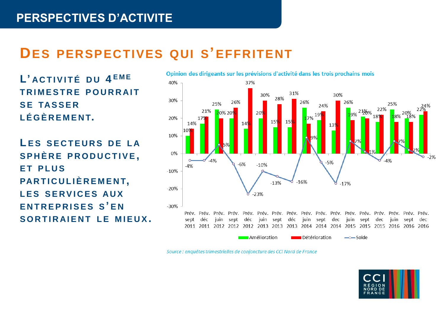### **DES PERSPECTIVES QUI S'EFFRITENT**

 $L$ ' **ACTIVITÉ** DU 4<sup>EME</sup> **T R I M E S T R E P O U R R AI T S E TAS S E R L É G È R E M E N T.**

**L E S S E C T E U R S D E L A S P H È R E P R O D U C T I V E , E T P L U S PAR T I C U L I È R E M E N T, L E S S E R V I C E S AU X E N T R E P R I S E S S ' E N**  $S$  O R T I R A I E N T L E M I E U X .



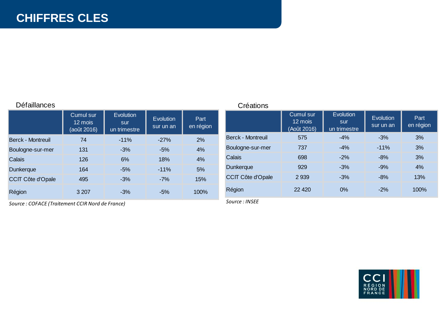#### Défaillances

|                          | <b>Cumul sur</b><br>12 mois<br>(août 2016) | Evolution<br>sur<br>un trimestre | Evolution<br>sur un an | Part<br>en région |
|--------------------------|--------------------------------------------|----------------------------------|------------------------|-------------------|
| <b>Berck - Montreuil</b> | 74                                         | $-11%$                           | $-27%$                 | 2%                |
| Boulogne-sur-mer         | 131                                        | $-3%$                            | $-5%$                  | 4%                |
| Calais                   | 126                                        | 6%                               | 18%                    | 4%                |
| <b>Dunkerque</b>         | 164                                        | $-5%$                            | $-11\%$                | 5%                |
| <b>CCIT Côte d'Opale</b> | 495                                        | $-3%$                            | $-7%$                  | 15%               |
| Région                   | 3 207                                      | $-3%$                            | -5%                    | 100%              |

*Source : COFACE (Traitement CCIR Nord de France)*

#### **Créations**

|                          | <b>Cumul sur</b><br>12 mois<br>(Août 2016) | Evolution<br>sur<br>un trimestre | Evolution<br>sur un an | Part.<br>en région |
|--------------------------|--------------------------------------------|----------------------------------|------------------------|--------------------|
| Berck - Montreuil        | 575                                        | $-4%$                            | $-3%$                  | 3%                 |
| Boulogne-sur-mer         | 737                                        | $-4%$                            | $-11%$                 | 3%                 |
| Calais                   | 698                                        | $-2%$                            | $-8%$                  | 3%                 |
| Dunkerque                | 929                                        | $-3%$                            | $-9%$                  | 4%                 |
| <b>CCIT Côte d'Opale</b> | 2939                                       | $-3%$                            | $-8%$                  | 13%                |
| Région                   | 22 4 20                                    | $0\%$                            | $-2%$                  | 100%               |

*Source : INSEE*

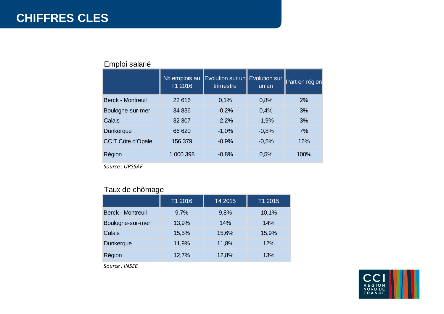|                          | Nb emplois au<br>T1 2016 | Evolution sur un Evolution sur<br>trimestre | un an   | Part en région |
|--------------------------|--------------------------|---------------------------------------------|---------|----------------|
| <b>Berck - Montreuil</b> | 22 616                   | 0,1%                                        | 0,8%    | 2%             |
| Boulogne-sur-mer         | 34 836                   | $-0.2%$                                     | 0,4%    | 3%             |
| Calais                   | 32 307                   | $-2,2%$                                     | $-1,9%$ | 3%             |
| <b>Dunkerque</b>         | 66 620                   | $-1.0%$                                     | $-0.8%$ | 7%             |
| <b>CCIT Côte d'Opale</b> | 156 379                  | $-0.9%$                                     | $-0.5%$ | 16%            |
| Région                   | 1 000 398                | $-0,8%$                                     | 0,5%    | 100%           |

#### Emploi salarié

*Source : URSSAF*

#### Taux de chômage

|                          | T1 2016 | T4 2015 | T1 2015 |
|--------------------------|---------|---------|---------|
| <b>Berck - Montreuil</b> | 9,7%    | 9,8%    | 10,1%   |
| Boulogne-sur-mer         | 13,9%   | 14%     | 14%     |
| <b>Calais</b>            | 15,5%   | 15,6%   | 15,9%   |
| <b>Dunkerque</b>         | 11,9%   | 11,8%   | 12%     |
| Région                   | 12,7%   | 12,8%   | 13%     |

*Source : INSEE*

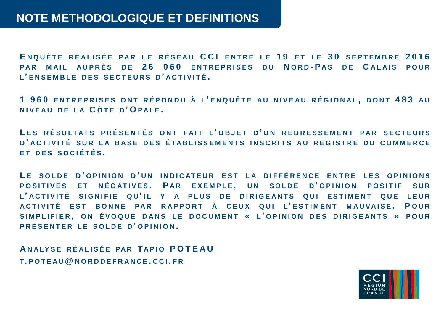**E N Q U Ê T E R É A L I S É E P A R L E R É S E A U CCI E N T R E L E 1 9 E T L E 3 0 S E P T E M B R E 2016 P A R M A I L A U P R È S D E 2 6 060 E N T R E P R I S E S D U N ORD - P A S D E C A L A I S P O U R L' E N S E M B L E D E S S E C T E U R S D ' A C T I V I T É .**

1960 ENTREPRISES ONT RÉPONDU À L'ENQUÊTE AU NIVEAU RÉGIONAL, DONT 483 AU **N I V E A U D E L A C Ô T E D ' O PA L E .**

**L E S R É S U LT AT S P R É S E N T É S ONT F A I T L' O B J E T D ' U N R E D R E S S E M E N T P A R S E C T E U R S D ' A C T I V I T É S U R L A B A S E D E S É T A B L I S S E M E N T S I N S C R I T S A U R E G I S T R E D U C O M M E R C E ET DES SOCIÉTÉS.** 

LE SOLDE D'OPINION D'UN INDICATEUR EST LA DIFFÉRENCE ENTRE LES OPINIONS **P O S I T I V E S E T N É G AT I V E S . P A R E X E M P L E , U N S O L D E D ' O P I N I O N P O S I T I F S U R L' A C T I V I T É S I G N I F I E Q U ' I L Y A P L U S D E D I R I G E A N T S QUI E S T I M E N T QUE L E U R A C T I V I T É E S T BONNE PA R R A P P O R T À C E U X Q U I L' E S T I M E N T M A U V A I S E . P OUR** SIMPLIFIER, ON ÉVOQUE DANS LE DOCUMENT « L'OPINION DES DIRIGEANTS » POUR **P R É S E N T E R L E S O L D E D ' O P I N I O N .**

**A N A LY S E R É A L I S É E PA R T A P I O P O T E A U T. P O T E A U @ N O R D D E F R A N C E . CCI . F R**